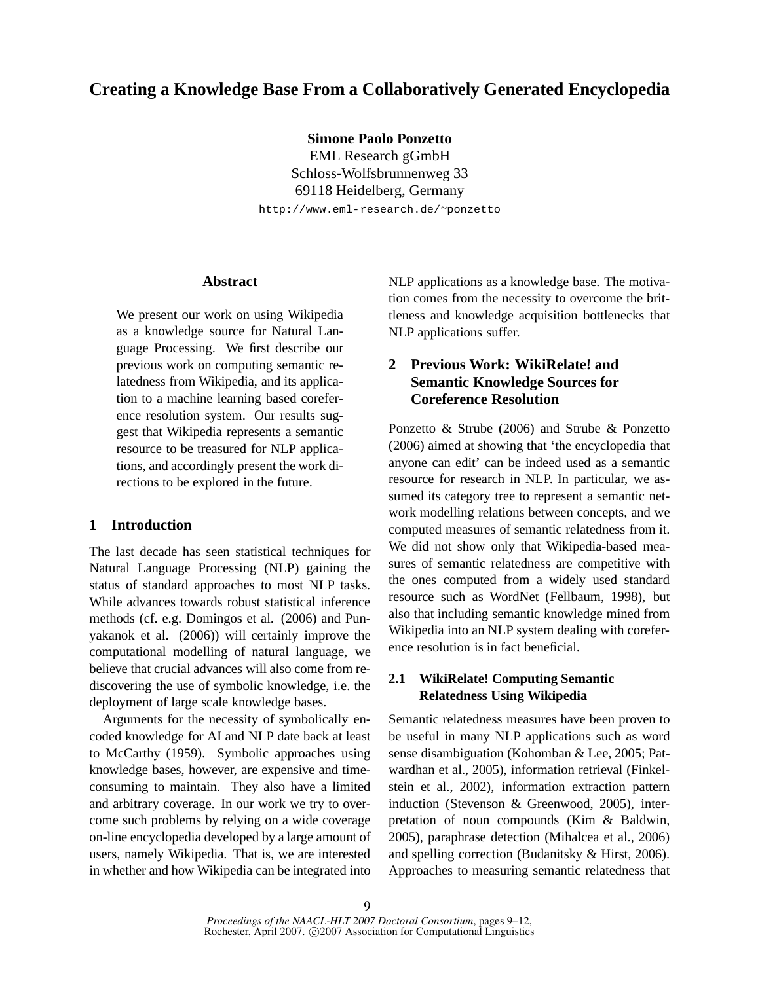# **Creating a Knowledge Base From a Collaboratively Generated Encyclopedia**

**Simone Paolo Ponzetto**

EML Research gGmbH Schloss-Wolfsbrunnenweg 33 69118 Heidelberg, Germany http://www.eml-research.de/<sup>∼</sup>ponzetto

#### **Abstract**

We present our work on using Wikipedia as a knowledge source for Natural Language Processing. We first describe our previous work on computing semantic relatedness from Wikipedia, and its application to a machine learning based coreference resolution system. Our results suggest that Wikipedia represents a semantic resource to be treasured for NLP applications, and accordingly present the work directions to be explored in the future.

### **1 Introduction**

The last decade has seen statistical techniques for Natural Language Processing (NLP) gaining the status of standard approaches to most NLP tasks. While advances towards robust statistical inference methods (cf. e.g. Domingos et al. (2006) and Punyakanok et al. (2006)) will certainly improve the computational modelling of natural language, we believe that crucial advances will also come from rediscovering the use of symbolic knowledge, i.e. the deployment of large scale knowledge bases.

Arguments for the necessity of symbolically encoded knowledge for AI and NLP date back at least to McCarthy (1959). Symbolic approaches using knowledge bases, however, are expensive and timeconsuming to maintain. They also have a limited and arbitrary coverage. In our work we try to overcome such problems by relying on a wide coverage on-line encyclopedia developed by a large amount of users, namely Wikipedia. That is, we are interested in whether and how Wikipedia can be integrated into NLP applications as a knowledge base. The motivation comes from the necessity to overcome the brittleness and knowledge acquisition bottlenecks that NLP applications suffer.

# **2 Previous Work: WikiRelate! and Semantic Knowledge Sources for Coreference Resolution**

Ponzetto & Strube (2006) and Strube & Ponzetto (2006) aimed at showing that 'the encyclopedia that anyone can edit' can be indeed used as a semantic resource for research in NLP. In particular, we assumed its category tree to represent a semantic network modelling relations between concepts, and we computed measures of semantic relatedness from it. We did not show only that Wikipedia-based measures of semantic relatedness are competitive with the ones computed from a widely used standard resource such as WordNet (Fellbaum, 1998), but also that including semantic knowledge mined from Wikipedia into an NLP system dealing with coreference resolution is in fact beneficial.

### **2.1 WikiRelate! Computing Semantic Relatedness Using Wikipedia**

Semantic relatedness measures have been proven to be useful in many NLP applications such as word sense disambiguation (Kohomban & Lee, 2005; Patwardhan et al., 2005), information retrieval (Finkelstein et al., 2002), information extraction pattern induction (Stevenson & Greenwood, 2005), interpretation of noun compounds (Kim & Baldwin, 2005), paraphrase detection (Mihalcea et al., 2006) and spelling correction (Budanitsky & Hirst, 2006). Approaches to measuring semantic relatedness that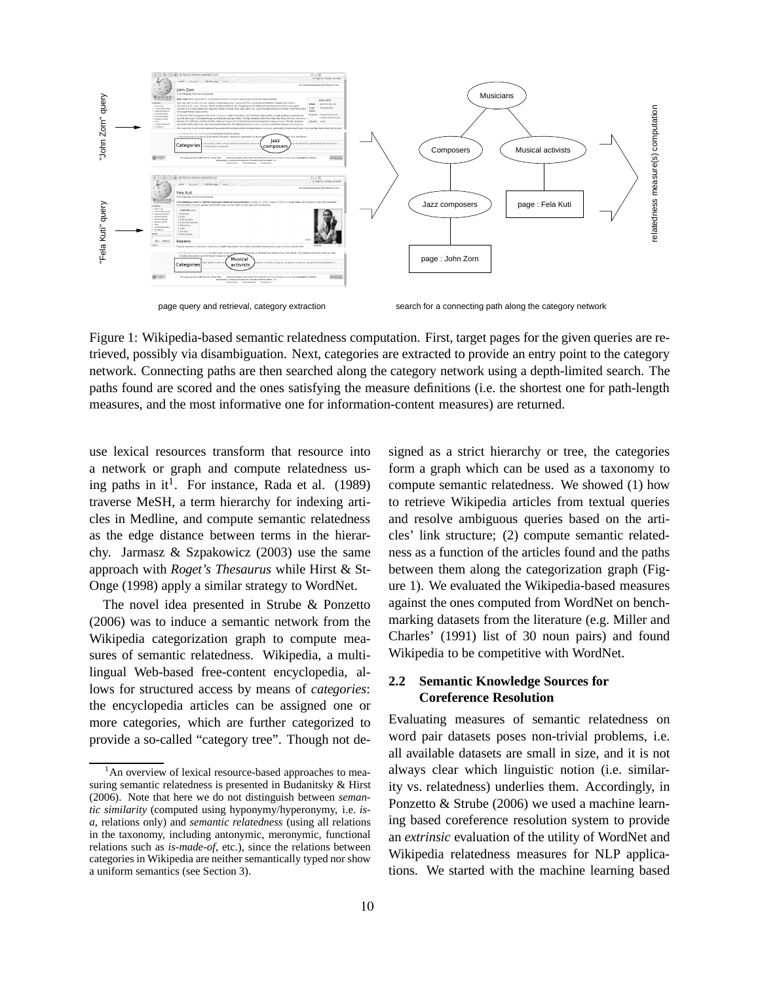

Figure 1: Wikipedia-based semantic relatedness computation. First, target pages for the given queries are retrieved, possibly via disambiguation. Next, categories are extracted to provide an entry point to the category network. Connecting paths are then searched along the category network using a depth-limited search. The paths found are scored and the ones satisfying the measure definitions (i.e. the shortest one for path-length measures, and the most informative one for information-content measures) are returned.

use lexical resources transform that resource into a network or graph and compute relatedness using paths in it<sup>1</sup>. For instance, Rada et al.  $(1989)$ traverse MeSH, a term hierarchy for indexing articles in Medline, and compute semantic relatedness as the edge distance between terms in the hierarchy. Jarmasz & Szpakowicz (2003) use the same approach with *Roget's Thesaurus* while Hirst & St-Onge (1998) apply a similar strategy to WordNet.

The novel idea presented in Strube & Ponzetto (2006) was to induce a semantic network from the Wikipedia categorization graph to compute measures of semantic relatedness. Wikipedia, a multilingual Web-based free-content encyclopedia, allows for structured access by means of *categories*: the encyclopedia articles can be assigned one or more categories, which are further categorized to provide a so-called "category tree". Though not designed as a strict hierarchy or tree, the categories form a graph which can be used as a taxonomy to compute semantic relatedness. We showed (1) how to retrieve Wikipedia articles from textual queries and resolve ambiguous queries based on the articles' link structure; (2) compute semantic relatedness as a function of the articles found and the paths between them along the categorization graph (Figure 1). We evaluated the Wikipedia-based measures against the ones computed from WordNet on benchmarking datasets from the literature (e.g. Miller and Charles' (1991) list of 30 noun pairs) and found Wikipedia to be competitive with WordNet.

### **2.2 Semantic Knowledge Sources for Coreference Resolution**

Evaluating measures of semantic relatedness on word pair datasets poses non-trivial problems, i.e. all available datasets are small in size, and it is not always clear which linguistic notion (i.e. similarity vs. relatedness) underlies them. Accordingly, in Ponzetto & Strube (2006) we used a machine learning based coreference resolution system to provide an *extrinsic* evaluation of the utility of WordNet and Wikipedia relatedness measures for NLP applications. We started with the machine learning based

<sup>&</sup>lt;sup>1</sup>An overview of lexical resource-based approaches to measuring semantic relatedness is presented in Budanitsky & Hirst (2006). Note that here we do not distinguish between *semantic similarity* (computed using hyponymy/hyperonymy, i.e. *isa*, relations only) and *semantic relatedness* (using all relations in the taxonomy, including antonymic, meronymic, functional relations such as *is-made-of*, etc.), since the relations between categories in Wikipedia are neither semantically typed nor show a uniform semantics (see Section 3).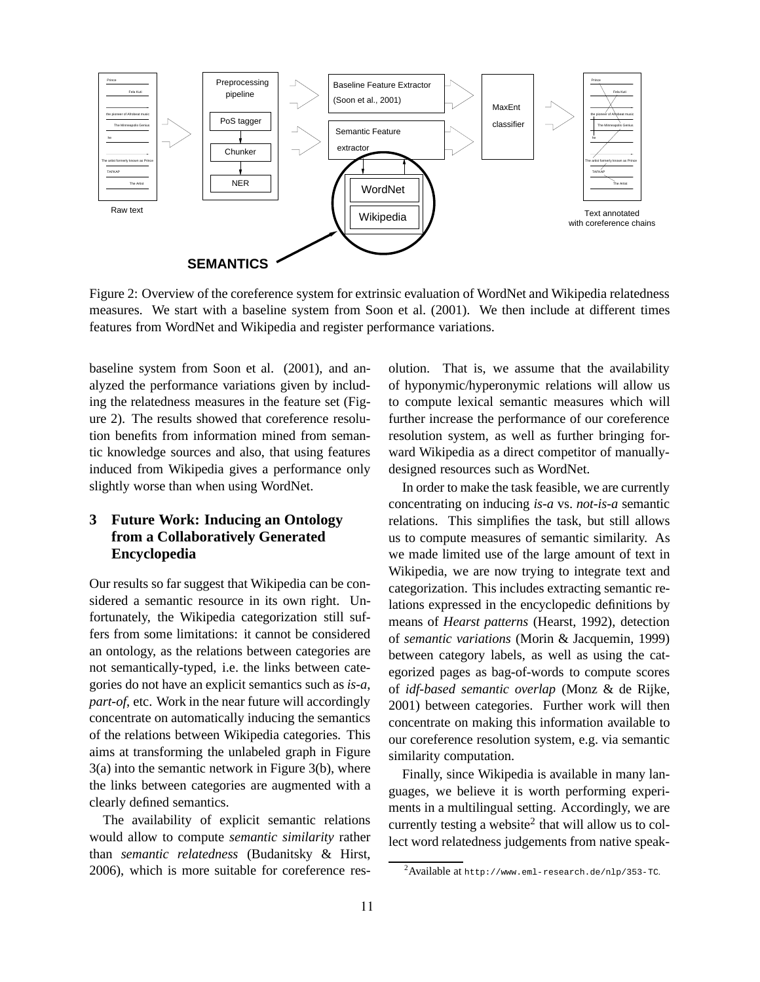

Figure 2: Overview of the coreference system for extrinsic evaluation of WordNet and Wikipedia relatedness measures. We start with a baseline system from Soon et al. (2001). We then include at different times features from WordNet and Wikipedia and register performance variations.

baseline system from Soon et al. (2001), and analyzed the performance variations given by including the relatedness measures in the feature set (Figure 2). The results showed that coreference resolution benefits from information mined from semantic knowledge sources and also, that using features induced from Wikipedia gives a performance only slightly worse than when using WordNet.

## **3 Future Work: Inducing an Ontology from a Collaboratively Generated Encyclopedia**

Our results so far suggest that Wikipedia can be considered a semantic resource in its own right. Unfortunately, the Wikipedia categorization still suffers from some limitations: it cannot be considered an ontology, as the relations between categories are not semantically-typed, i.e. the links between categories do not have an explicit semantics such as *is-a*, *part-of*, etc. Work in the near future will accordingly concentrate on automatically inducing the semantics of the relations between Wikipedia categories. This aims at transforming the unlabeled graph in Figure 3(a) into the semantic network in Figure 3(b), where the links between categories are augmented with a clearly defined semantics.

The availability of explicit semantic relations would allow to compute *semantic similarity* rather than *semantic relatedness* (Budanitsky & Hirst, 2006), which is more suitable for coreference resolution. That is, we assume that the availability of hyponymic/hyperonymic relations will allow us to compute lexical semantic measures which will further increase the performance of our coreference resolution system, as well as further bringing forward Wikipedia as a direct competitor of manuallydesigned resources such as WordNet.

In order to make the task feasible, we are currently concentrating on inducing *is-a* vs. *not-is-a* semantic relations. This simplifies the task, but still allows us to compute measures of semantic similarity. As we made limited use of the large amount of text in Wikipedia, we are now trying to integrate text and categorization. This includes extracting semantic relations expressed in the encyclopedic definitions by means of *Hearst patterns* (Hearst, 1992), detection of *semantic variations* (Morin & Jacquemin, 1999) between category labels, as well as using the categorized pages as bag-of-words to compute scores of *idf-based semantic overlap* (Monz & de Rijke, 2001) between categories. Further work will then concentrate on making this information available to our coreference resolution system, e.g. via semantic similarity computation.

Finally, since Wikipedia is available in many languages, we believe it is worth performing experiments in a multilingual setting. Accordingly, we are currently testing a website<sup>2</sup> that will allow us to collect word relatedness judgements from native speak-

 $^2$ Available at http://www.eml-research.de/nlp/353-TC.